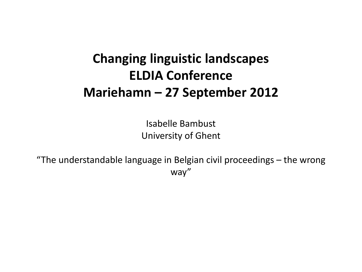## **Changing linguistic landscapes ELDIA Conference Mariehamn – 27 September 2012**

Isabelle Bambust University of Ghent

"The understandable language in Belgian civil proceedings – the wrong way"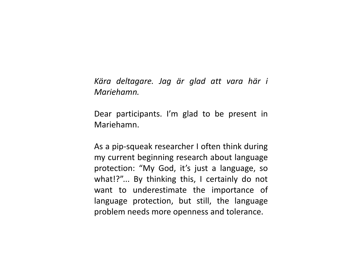*Kära deltagare. Jag är glad att vara här i Mariehamn.*

Dear participants. I'm glad to be present in Mariehamn.

As a pip-squeak researcher I often think during my current beginning research about language protection: "My God, it's just a language, so what!?"... By thinking this, I certainly do not want to underestimate the importance of language protection, but still, the language problem needs more openness and tolerance.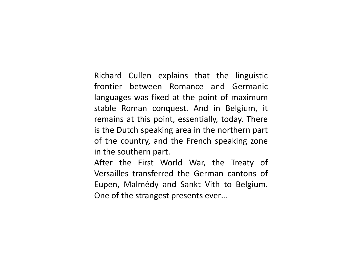Richard Cullen explains that the linguistic frontier between Romance and Germanic languages was fixed at the point of maximum stable Roman conquest. And in Belgium, it remains at this point, essentially, today. There is the Dutch speaking area in the northern part of the country, and the French speaking zone in the southern part.

After the First World War, the Treaty of Versailles transferred the German cantons of Eupen, Malmédy and Sankt Vith to Belgium. One of the strangest presents ever…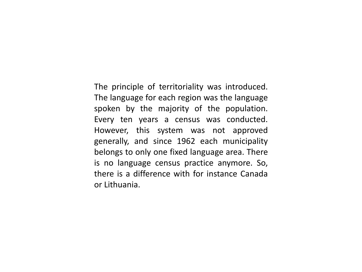The principle of territoriality was introduced. The language for each region was the language spoken by the majority of the population. Every ten years a census was conducted. However, this system was not approved generally, and since 1962 each municipality belongs to only one fixed language area. There is no language census practice anymore. So, there is a difference with for instance Canada or Lithuania.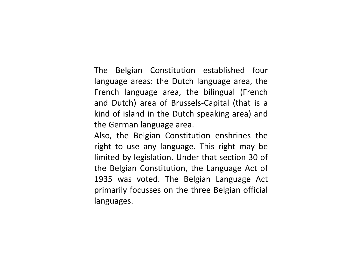The Belgian Constitution established four language areas: the Dutch language area, the French language area, the bilingual (French and Dutch) area of Brussels-Capital (that is a kind of island in the Dutch speaking area) and the German language area.

Also, the Belgian Constitution enshrines the right to use any language. This right may be limited by legislation. Under that section 30 of the Belgian Constitution, the Language Act of 1935 was voted. The Belgian Language Act primarily focusses on the three Belgian official languages.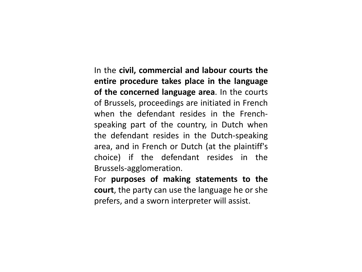In the **civil, commercial and labour courts the entire procedure takes place in the language of the concerned language area**. In the courts of Brussels, proceedings are initiated in French when the defendant resides in the Frenchspeaking part of the country, in Dutch when the defendant resides in the Dutch-speaking area, and in French or Dutch (at the plaintiff's choice) if the defendant resides in the Brussels-agglomeration.

For **purposes of making statements to the court**, the party can use the language he or she prefers, and a sworn interpreter will assist.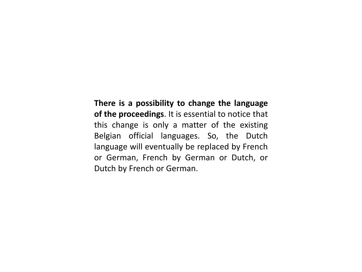**There is a possibility to change the language of the proceedings**. It is essential to notice that this change is only a matter of the existing Belgian official languages. So, the Dutch language will eventually be replaced by French or German, French by German or Dutch, or Dutch by French or German.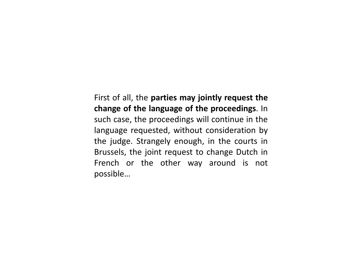First of all, the **parties may jointly request the change of the language of the proceedings**. In such case, the proceedings will continue in the language requested, without consideration by the judge. Strangely enough, in the courts in Brussels, the joint request to change Dutch in French or the other way around is not possible…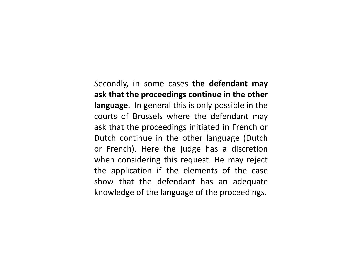Secondly, in some cases **the defendant may ask that the proceedings continue in the other language**. In general this is only possible in the courts of Brussels where the defendant may ask that the proceedings initiated in French or Dutch continue in the other language (Dutch or French). Here the judge has a discretion when considering this request. He may reject the application if the elements of the case show that the defendant has an adequate knowledge of the language of the proceedings.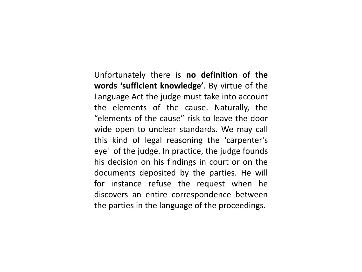Unfortunately there is **no definition of the words 'sufficient knowledge'**. By virtue of the Language Act the judge must take into account the elements of the cause. Naturally, the "elements of the cause" risk to leave the door wide open to unclear standards. We may call this kind of legal reasoning the 'carpenter's eye' of the judge. In practice, the judge founds his decision on his findings in court or on the documents deposited by the parties. He will for instance refuse the request when he discovers an entire correspondence between the parties in the language of the proceedings.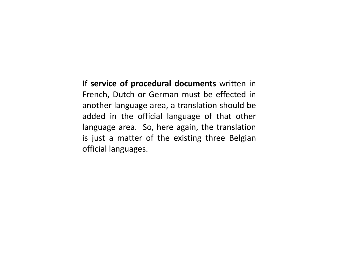If **service of procedural documents** written in French, Dutch or German must be effected in another language area, a translation should be added in the official language of that other language area. So, here again, the translation is just a matter of the existing three Belgian official languages.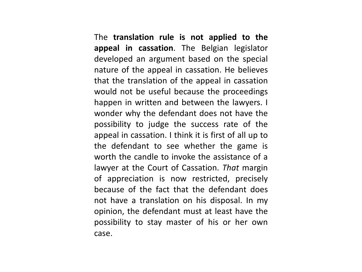The **translation rule is not applied to the appeal in cassation**. The Belgian legislator developed an argument based on the special nature of the appeal in cassation. He believes that the translation of the appeal in cassation would not be useful because the proceedings happen in written and between the lawyers. I wonder why the defendant does not have the possibility to judge the success rate of the appeal in cassation. I think it is first of all up to the defendant to see whether the game is worth the candle to invoke the assistance of a lawyer at the Court of Cassation. *That* margin of appreciation is now restricted, precisely because of the fact that the defendant does not have a translation on his disposal. In my opinion, the defendant must at least have the possibility to stay master of his or her own case.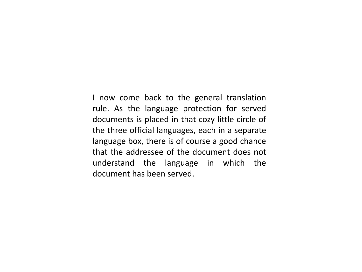I now come back to the general translation rule. As the language protection for served documents is placed in that cozy little circle of the three official languages, each in a separate language box, there is of course a good chance that the addressee of the document does not understand the language in which the document has been served.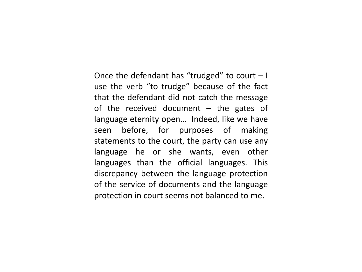Once the defendant has "trudged" to court – I use the verb "to trudge" because of the fact that the defendant did not catch the message of the received document – the gates of language eternity open… Indeed, like we have seen before, for purposes of making statements to the court, the party can use any language he or she wants, even other languages than the official languages. This discrepancy between the language protection of the service of documents and the language protection in court seems not balanced to me.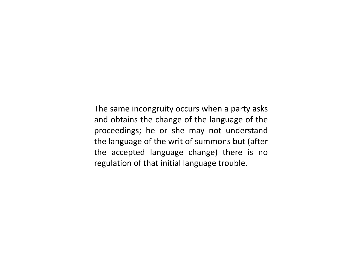The same incongruity occurs when a party asks and obtains the change of the language of the proceedings; he or she may not understand the language of the writ of summons but (after the accepted language change) there is no regulation of that initial language trouble.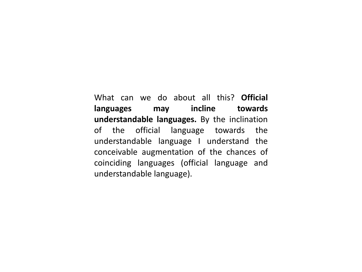What can we do about all this? **Official languages may incline towards understandable languages.** By the inclination of the official language towards the understandable language I understand the conceivable augmentation of the chances of coinciding languages (official language and understandable language).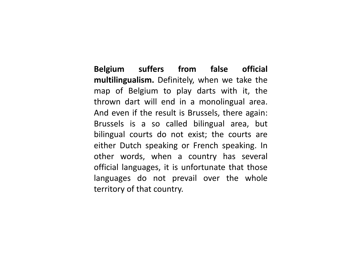**Belgium suffers from false official multilingualism.** Definitely, when we take the map of Belgium to play darts with it, the thrown dart will end in a monolingual area. And even if the result is Brussels, there again: Brussels is a so called bilingual area, but bilingual courts do not exist; the courts are either Dutch speaking or French speaking. In other words, when a country has several official languages, it is unfortunate that those languages do not prevail over the whole territory of that country.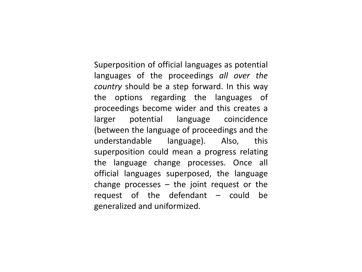Superposition of official languages as potential languages of the proceedings *all over the country* should be a step forward. In this way the options regarding the languages of proceedings become wider and this creates a larger potential language coincidence (between the language of proceedings and the understandable language). Also, this superposition could mean a progress relating the language change processes. Once all official languages superposed, the language change processes  $-$  the joint request or the request of the defendant – could be generalized and uniformized.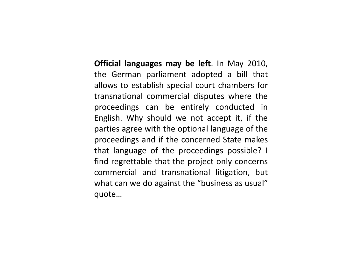**Official languages may be left**. In May 2010, the German parliament adopted a bill that allows to establish special court chambers for transnational commercial disputes where the proceedings can be entirely conducted in English. Why should we not accept it, if the parties agree with the optional language of the proceedings and if the concerned State makes that language of the proceedings possible? I find regrettable that the project only concerns commercial and transnational litigation, but what can we do against the "business as usual" quote…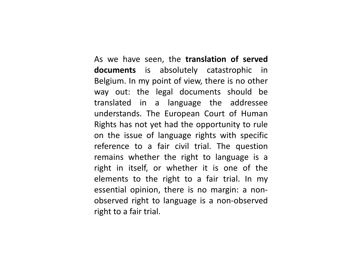As we have seen, the **translation of served documents** is absolutely catastrophic in Belgium. In my point of view, there is no other way out: the legal documents should be translated in a language the addressee understands. The European Court of Human Rights has not yet had the opportunity to rule on the issue of language rights with specific reference to a fair civil trial. The question remains whether the right to language is a right in itself, or whether it is one of the elements to the right to a fair trial. In my essential opinion, there is no margin: a nonobserved right to language is a non-observed right to a fair trial.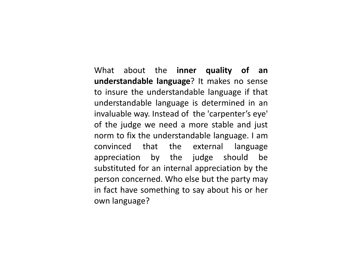What about the **inner quality of an understandable language**? It makes no sense to insure the understandable language if that understandable language is determined in an invaluable way. Instead of the 'carpenter's eye' of the judge we need a more stable and just norm to fix the understandable language. I am convinced that the external language appreciation by the judge should be substituted for an internal appreciation by the person concerned. Who else but the party may in fact have something to say about his or her own language?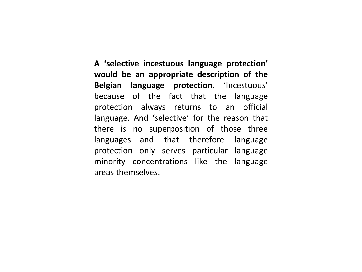**A 'selective incestuous language protection' would be an appropriate description of the Belgian language protection**. 'Incestuous' because of the fact that the language protection always returns to an official language. And 'selective' for the reason that there is no superposition of those three languages and that therefore language protection only serves particular language minority concentrations like the language areas themselves.